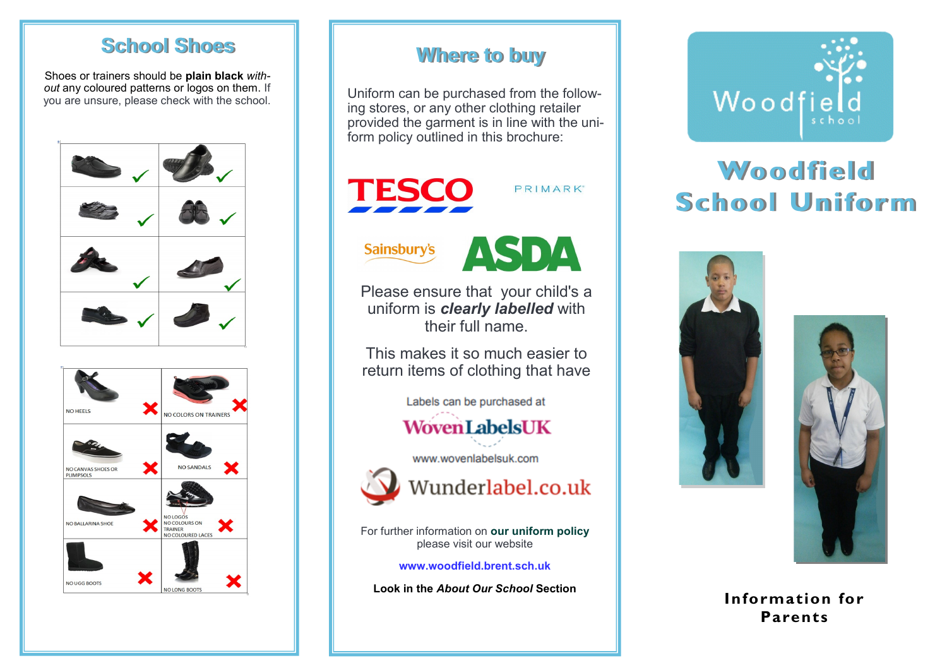#### **School Shoes**

Shoes or trainers should be **plain black** *with*out any coloured patterns or logos on them. If you are unsure, please check with the school.





#### **Where to buy**

Uniform can be purchased from the following stores, or any other clothing retailer provided the garment is in line with the uniform policy outlined in this brochure:



**Sainsbury's** 



PRIMARK

Please ensure that your child's a uniform is *clearly labelled* with their full name.

This makes it so much easier to return items of clothing that have

Labels can be purchased at

# **WovenLabelsUK**

www.wovenlabelsuk.com



Wunderlabel.co.uk

For further information on **our uniform policy** please visit our website

**www.woodfield.brent.sch.uk** 

**Look in the** *About Our School* **Section**



# **Woodfield School Uniform**





**Information for Parents**